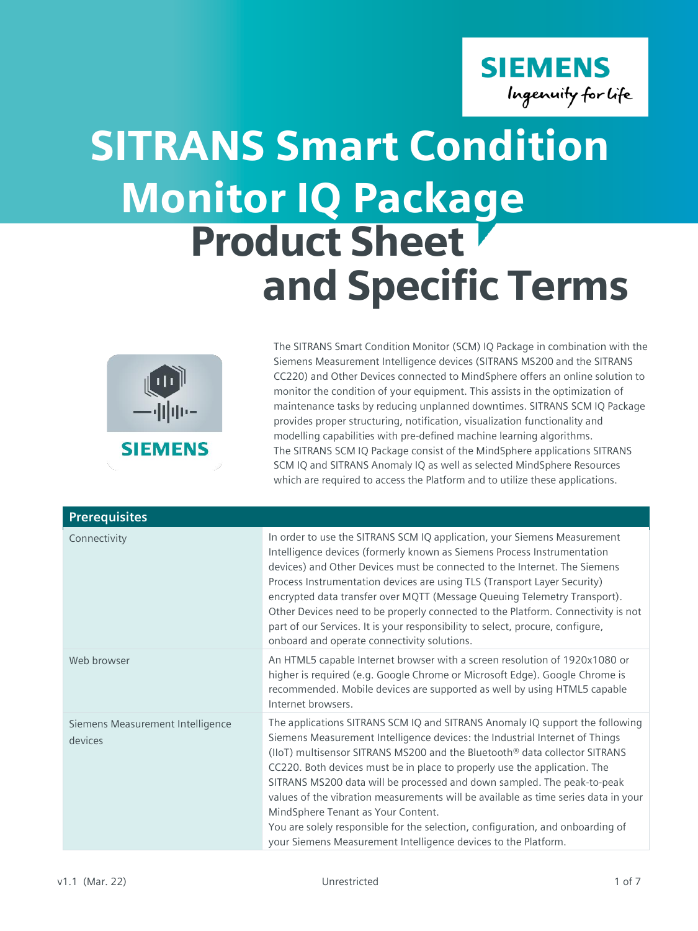## **SIEMENS** Ingenuity for life

# Monitor IQ Package Product Sheet and Specific Terms SITRANS Smart Condition



The SITRANS Smart Condition Monitor (SCM) IQ Package in combination with the Siemens Measurement Intelligence devices (SITRANS MS200 and the SITRANS CC220) and Other Devices connected to MindSphere offers an online solution to monitor the condition of your equipment. This assists in the optimization of maintenance tasks by reducing unplanned downtimes. SITRANS SCM IQ Package provides proper structuring, notification, visualization functionality and modelling capabilities with pre-defined machine learning algorithms. The SITRANS SCM IQ Package consist of the MindSphere applications SITRANS SCM IQ and SITRANS Anomaly IQ as well as selected MindSphere Resources which are required to access the Platform and to utilize these applications.

| <b>Prerequisites</b>                        |                                                                                                                                                                                                                                                                                                                                                                                                                                                                                                                                                                                                                                                                                   |
|---------------------------------------------|-----------------------------------------------------------------------------------------------------------------------------------------------------------------------------------------------------------------------------------------------------------------------------------------------------------------------------------------------------------------------------------------------------------------------------------------------------------------------------------------------------------------------------------------------------------------------------------------------------------------------------------------------------------------------------------|
| Connectivity                                | In order to use the SITRANS SCM IQ application, your Siemens Measurement<br>Intelligence devices (formerly known as Siemens Process Instrumentation<br>devices) and Other Devices must be connected to the Internet. The Siemens<br>Process Instrumentation devices are using TLS (Transport Layer Security)<br>encrypted data transfer over MQTT (Message Queuing Telemetry Transport).<br>Other Devices need to be properly connected to the Platform. Connectivity is not<br>part of our Services. It is your responsibility to select, procure, configure,<br>onboard and operate connectivity solutions.                                                                     |
| Web browser                                 | An HTML5 capable Internet browser with a screen resolution of 1920x1080 or<br>higher is required (e.g. Google Chrome or Microsoft Edge). Google Chrome is<br>recommended. Mobile devices are supported as well by using HTML5 capable<br>Internet browsers.                                                                                                                                                                                                                                                                                                                                                                                                                       |
| Siemens Measurement Intelligence<br>devices | The applications SITRANS SCM IQ and SITRANS Anomaly IQ support the following<br>Siemens Measurement Intelligence devices: the Industrial Internet of Things<br>(IIoT) multisensor SITRANS MS200 and the Bluetooth® data collector SITRANS<br>CC220. Both devices must be in place to properly use the application. The<br>SITRANS MS200 data will be processed and down sampled. The peak-to-peak<br>values of the vibration measurements will be available as time series data in your<br>MindSphere Tenant as Your Content.<br>You are solely responsible for the selection, configuration, and onboarding of<br>your Siemens Measurement Intelligence devices to the Platform. |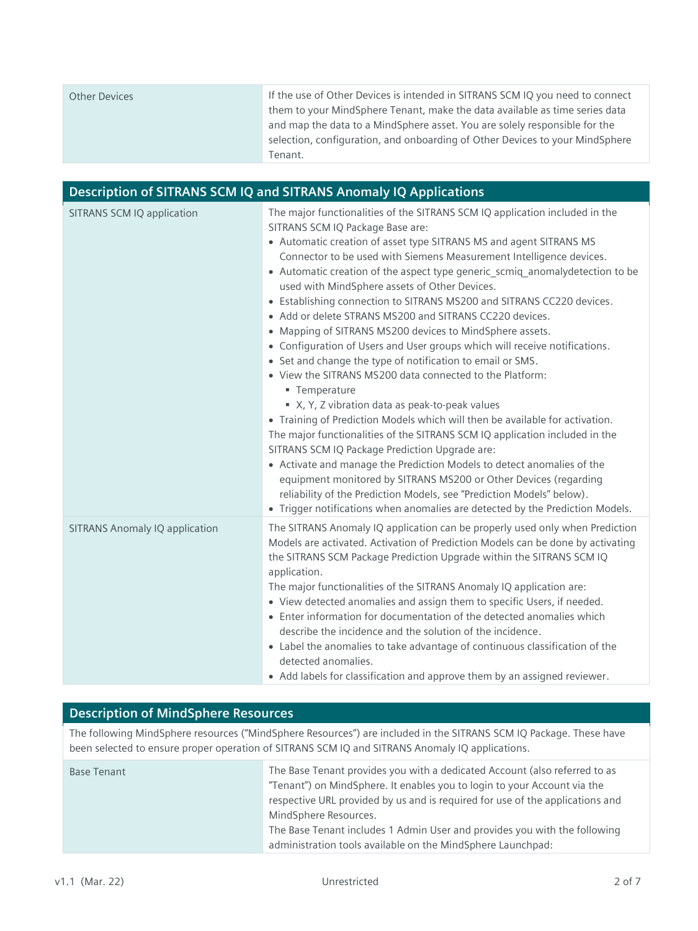| Other Devices | If the use of Other Devices is intended in SITRANS SCM IQ you need to connect<br>them to your MindSphere Tenant, make the data available as time series data<br>and map the data to a MindSphere asset. You are solely responsible for the<br>selection, configuration, and onboarding of Other Devices to your MindSphere<br>Tenant. |
|---------------|---------------------------------------------------------------------------------------------------------------------------------------------------------------------------------------------------------------------------------------------------------------------------------------------------------------------------------------|
|---------------|---------------------------------------------------------------------------------------------------------------------------------------------------------------------------------------------------------------------------------------------------------------------------------------------------------------------------------------|

| Description of SITRANS SCM IQ and SITRANS Anomaly IQ Applications |                                                                                                                                                                                                                                                                                                                                                                                                                                                                                                                                                                                                                                                                                                                                                                                                                                                                                                                                                                                                                                                                                                                                                                                                                                                                                                                                                                                                    |  |
|-------------------------------------------------------------------|----------------------------------------------------------------------------------------------------------------------------------------------------------------------------------------------------------------------------------------------------------------------------------------------------------------------------------------------------------------------------------------------------------------------------------------------------------------------------------------------------------------------------------------------------------------------------------------------------------------------------------------------------------------------------------------------------------------------------------------------------------------------------------------------------------------------------------------------------------------------------------------------------------------------------------------------------------------------------------------------------------------------------------------------------------------------------------------------------------------------------------------------------------------------------------------------------------------------------------------------------------------------------------------------------------------------------------------------------------------------------------------------------|--|
| SITRANS SCM IQ application                                        | The major functionalities of the SITRANS SCM IQ application included in the<br>SITRANS SCM IQ Package Base are:<br>• Automatic creation of asset type SITRANS MS and agent SITRANS MS<br>Connector to be used with Siemens Measurement Intelligence devices.<br>• Automatic creation of the aspect type generic_scmiq_anomalydetection to be<br>used with MindSphere assets of Other Devices.<br>• Establishing connection to SITRANS MS200 and SITRANS CC220 devices.<br>• Add or delete STRANS MS200 and SITRANS CC220 devices.<br>• Mapping of SITRANS MS200 devices to MindSphere assets.<br>• Configuration of Users and User groups which will receive notifications.<br>• Set and change the type of notification to email or SMS.<br>• View the SITRANS MS200 data connected to the Platform:<br>■ Temperature<br>■ X, Y, Z vibration data as peak-to-peak values<br>• Training of Prediction Models which will then be available for activation.<br>The major functionalities of the SITRANS SCM IQ application included in the<br>SITRANS SCM IQ Package Prediction Upgrade are:<br>• Activate and manage the Prediction Models to detect anomalies of the<br>equipment monitored by SITRANS MS200 or Other Devices (regarding<br>reliability of the Prediction Models, see "Prediction Models" below).<br>• Trigger notifications when anomalies are detected by the Prediction Models. |  |
| <b>SITRANS Anomaly IQ application</b>                             | The SITRANS Anomaly IQ application can be properly used only when Prediction<br>Models are activated. Activation of Prediction Models can be done by activating<br>the SITRANS SCM Package Prediction Upgrade within the SITRANS SCM IQ<br>application.<br>The major functionalities of the SITRANS Anomaly IQ application are:<br>• View detected anomalies and assign them to specific Users, if needed.<br>• Enter information for documentation of the detected anomalies which<br>describe the incidence and the solution of the incidence.<br>• Label the anomalies to take advantage of continuous classification of the<br>detected anomalies.<br>• Add labels for classification and approve them by an assigned reviewer.                                                                                                                                                                                                                                                                                                                                                                                                                                                                                                                                                                                                                                                                |  |

### **Description of MindSphere Resources**

The following MindSphere resources ("MindSphere Resources") are included in the SITRANS SCM IQ Package. These have been selected to ensure proper operation of SITRANS SCM IQ and SITRANS Anomaly IQ applications.

| <b>Base Tenant</b> | The Base Tenant provides you with a dedicated Account (also referred to as<br>"Tenant") on MindSphere. It enables you to login to your Account via the<br>respective URL provided by us and is required for use of the applications and<br>MindSphere Resources.<br>The Base Tenant includes 1 Admin User and provides you with the following |
|--------------------|-----------------------------------------------------------------------------------------------------------------------------------------------------------------------------------------------------------------------------------------------------------------------------------------------------------------------------------------------|
|                    | administration tools available on the MindSphere Launchpad:                                                                                                                                                                                                                                                                                   |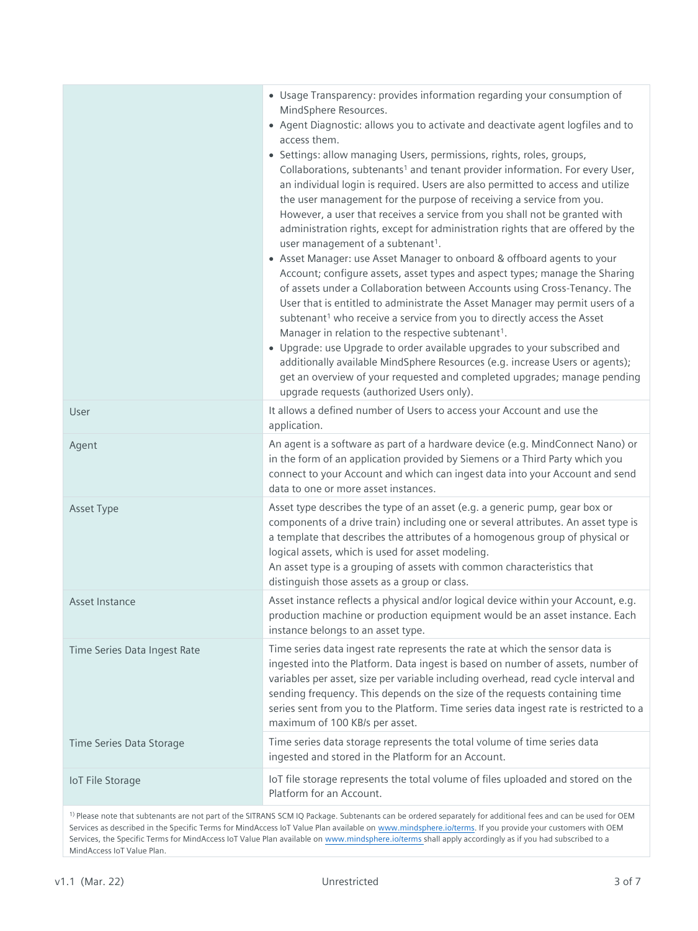|                              | • Usage Transparency: provides information regarding your consumption of<br>MindSphere Resources.<br>• Agent Diagnostic: allows you to activate and deactivate agent logfiles and to<br>access them.<br>• Settings: allow managing Users, permissions, rights, roles, groups,<br>Collaborations, subtenants <sup>1</sup> and tenant provider information. For every User,<br>an individual login is required. Users are also permitted to access and utilize<br>the user management for the purpose of receiving a service from you.<br>However, a user that receives a service from you shall not be granted with<br>administration rights, except for administration rights that are offered by the<br>user management of a subtenant <sup>1</sup> .<br>• Asset Manager: use Asset Manager to onboard & offboard agents to your<br>Account; configure assets, asset types and aspect types; manage the Sharing<br>of assets under a Collaboration between Accounts using Cross-Tenancy. The<br>User that is entitled to administrate the Asset Manager may permit users of a<br>subtenant <sup>1</sup> who receive a service from you to directly access the Asset<br>Manager in relation to the respective subtenant <sup>1</sup> .<br>• Upgrade: use Upgrade to order available upgrades to your subscribed and<br>additionally available MindSphere Resources (e.g. increase Users or agents);<br>get an overview of your requested and completed upgrades; manage pending<br>upgrade requests (authorized Users only). |
|------------------------------|------------------------------------------------------------------------------------------------------------------------------------------------------------------------------------------------------------------------------------------------------------------------------------------------------------------------------------------------------------------------------------------------------------------------------------------------------------------------------------------------------------------------------------------------------------------------------------------------------------------------------------------------------------------------------------------------------------------------------------------------------------------------------------------------------------------------------------------------------------------------------------------------------------------------------------------------------------------------------------------------------------------------------------------------------------------------------------------------------------------------------------------------------------------------------------------------------------------------------------------------------------------------------------------------------------------------------------------------------------------------------------------------------------------------------------------------------------------------------------------------------------------------------|
| User                         | It allows a defined number of Users to access your Account and use the<br>application.                                                                                                                                                                                                                                                                                                                                                                                                                                                                                                                                                                                                                                                                                                                                                                                                                                                                                                                                                                                                                                                                                                                                                                                                                                                                                                                                                                                                                                       |
| Agent                        | An agent is a software as part of a hardware device (e.g. MindConnect Nano) or<br>in the form of an application provided by Siemens or a Third Party which you<br>connect to your Account and which can ingest data into your Account and send<br>data to one or more asset instances.                                                                                                                                                                                                                                                                                                                                                                                                                                                                                                                                                                                                                                                                                                                                                                                                                                                                                                                                                                                                                                                                                                                                                                                                                                       |
| Asset Type                   | Asset type describes the type of an asset (e.g. a generic pump, gear box or<br>components of a drive train) including one or several attributes. An asset type is<br>a template that describes the attributes of a homogenous group of physical or<br>logical assets, which is used for asset modeling.<br>An asset type is a grouping of assets with common characteristics that<br>distinguish those assets as a group or class.                                                                                                                                                                                                                                                                                                                                                                                                                                                                                                                                                                                                                                                                                                                                                                                                                                                                                                                                                                                                                                                                                           |
| Asset Instance               | Asset instance reflects a physical and/or logical device within your Account, e.g.<br>production machine or production equipment would be an asset instance. Each<br>instance belongs to an asset type.                                                                                                                                                                                                                                                                                                                                                                                                                                                                                                                                                                                                                                                                                                                                                                                                                                                                                                                                                                                                                                                                                                                                                                                                                                                                                                                      |
| Time Series Data Ingest Rate | Time series data ingest rate represents the rate at which the sensor data is<br>ingested into the Platform. Data ingest is based on number of assets, number of<br>variables per asset, size per variable including overhead, read cycle interval and<br>sending frequency. This depends on the size of the requests containing time<br>series sent from you to the Platform. Time series data ingest rate is restricted to a<br>maximum of 100 KB/s per asset.                                                                                                                                                                                                                                                                                                                                                                                                                                                                                                                                                                                                                                                                                                                                                                                                                                                                                                                                                                                                                                                              |
| Time Series Data Storage     | Time series data storage represents the total volume of time series data<br>ingested and stored in the Platform for an Account.                                                                                                                                                                                                                                                                                                                                                                                                                                                                                                                                                                                                                                                                                                                                                                                                                                                                                                                                                                                                                                                                                                                                                                                                                                                                                                                                                                                              |
| <b>IoT File Storage</b>      | IoT file storage represents the total volume of files uploaded and stored on the<br>Platform for an Account.                                                                                                                                                                                                                                                                                                                                                                                                                                                                                                                                                                                                                                                                                                                                                                                                                                                                                                                                                                                                                                                                                                                                                                                                                                                                                                                                                                                                                 |
|                              | <sup>1)</sup> Please note that subtenants are not part of the SITRANS SCM IQ Package. Subtenants can be ordered separately for additional fees and can be used for OEM<br>Services as described in the Specific Terms for MindAccess IoT Value Plan available on www.mindsphere.io/terms. If you provide your customers with OEM<br>Services, the Specific Terms for MindAccess IoT Value Plan available on www.mindsphere.io/terms shall apply accordingly as if you had subscribed to a                                                                                                                                                                                                                                                                                                                                                                                                                                                                                                                                                                                                                                                                                                                                                                                                                                                                                                                                                                                                                                    |

MindAccess IoT Value Plan.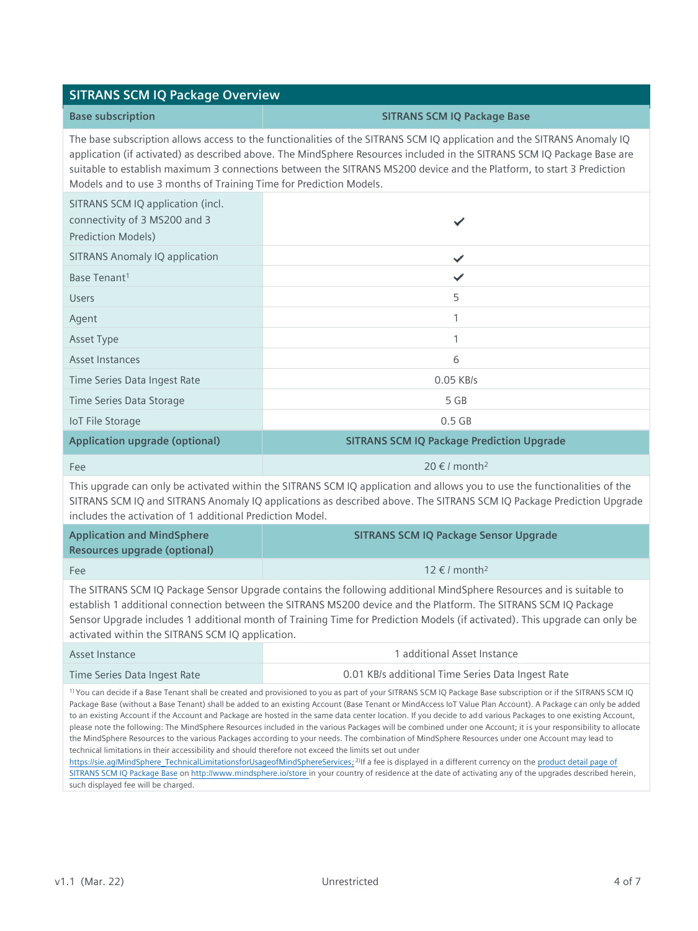#### **SITRANS SCM IQ Package Overview**

#### **Base subscription SITRANS SCM IQ Package Base**

The base subscription allows access to the functionalities of the SITRANS SCM IQ application and the SITRANS Anomaly IQ application (if activated) as described above. The MindSphere Resources included in the SITRANS SCM IQ Package Base are suitable to establish maximum 3 connections between the SITRANS MS200 device and the Platform, to start 3 Prediction Models and to use 3 months of Training Time for Prediction Models.

| SITRANS SCM IQ application (incl.<br>connectivity of 3 MS200 and 3<br><b>Prediction Models)</b> |                                                  |
|-------------------------------------------------------------------------------------------------|--------------------------------------------------|
| <b>SITRANS Anomaly IQ application</b>                                                           | ✓                                                |
| Base Tenant <sup>1</sup>                                                                        |                                                  |
| <b>Users</b>                                                                                    | 5                                                |
| Agent                                                                                           |                                                  |
| Asset Type                                                                                      |                                                  |
| <b>Asset Instances</b>                                                                          | 6                                                |
| Time Series Data Ingest Rate                                                                    | $0.05$ KB/s                                      |
| Time Series Data Storage                                                                        | 5 GB                                             |
| <b>IoT File Storage</b>                                                                         | $0.5$ GB                                         |
| <b>Application upgrade (optional)</b>                                                           | <b>SITRANS SCM IQ Package Prediction Upgrade</b> |

This upgrade can only be activated within the SITRANS SCM IQ application and allows you to use the functionalities of the SITRANS SCM IQ and SITRANS Anomaly IQ applications as described above. The SITRANS SCM IQ Package Prediction Upgrade includes the activation of 1 additional Prediction Model.

Fee  $20 \in I$  month<sup>2</sup>

| <b>Application and MindSphere</b><br>Resources upgrade (optional) | <b>SITRANS SCM IQ Package Sensor Upgrade</b>                                                                                                                                                                                                                                                                                                                         |
|-------------------------------------------------------------------|----------------------------------------------------------------------------------------------------------------------------------------------------------------------------------------------------------------------------------------------------------------------------------------------------------------------------------------------------------------------|
| <b>Fee</b>                                                        | $12 \text{ } \in I$ month <sup>2</sup>                                                                                                                                                                                                                                                                                                                               |
| activated within the SITRANS SCM IQ application.                  | The SITRANS SCM IQ Package Sensor Upgrade contains the following additional MindSphere Resources and is suitable to<br>establish 1 additional connection between the SITRANS MS200 device and the Platform. The SITRANS SCM IQ Package<br>Sensor Upgrade includes 1 additional month of Training Time for Prediction Models (if activated). This upgrade can only be |

| Asset Instance               | 1 additional Asset Instance                       |
|------------------------------|---------------------------------------------------|
| Time Series Data Ingest Rate | 0.01 KB/s additional Time Series Data Ingest Rate |

<sup>1)</sup> You can decide if a Base Tenant shall be created and provisioned to you as part of your SITRANS SCM IQ Package Base subscription or if the SITRANS SCM IQ Package Base (without a Base Tenant) shall be added to an existing Account (Base Tenant or MindAccess IoT Value Plan Account). A Package can only be added to an existing Account if the Account and Package are hosted in the same data center location. If you decide to add various Packages to one existing Account, please note the following: The MindSphere Resources included in the various Packages will be combined under one Account; it is your responsibility to allocate the MindSphere Resources to the various Packages according to your needs. The combination of MindSphere Resources under one Account may lead to technical limitations in their accessibility and should therefore not exceed the limits set out under

[https://sie.ag/MindSphere\\_TechnicalLimitationsforUsageofMindSphereServices;](https://sie.ag/MindSphere_TechnicalLimitationsforUsageofMindSphereServices) <sup>2)</sup>If a fee is displayed in a different currency on the product detail page of [SITRANS SCM IQ Package](https://www.dex.siemens.com/mindsphere/applications/SITRANS-smart-condition-monitor-iq-package-base) Base o[n http://www.mindsphere.io/store](http://www.mindsphere.io/store) in your country of residence at the date of activating any of the upgrades described herein, such displayed fee will be charged.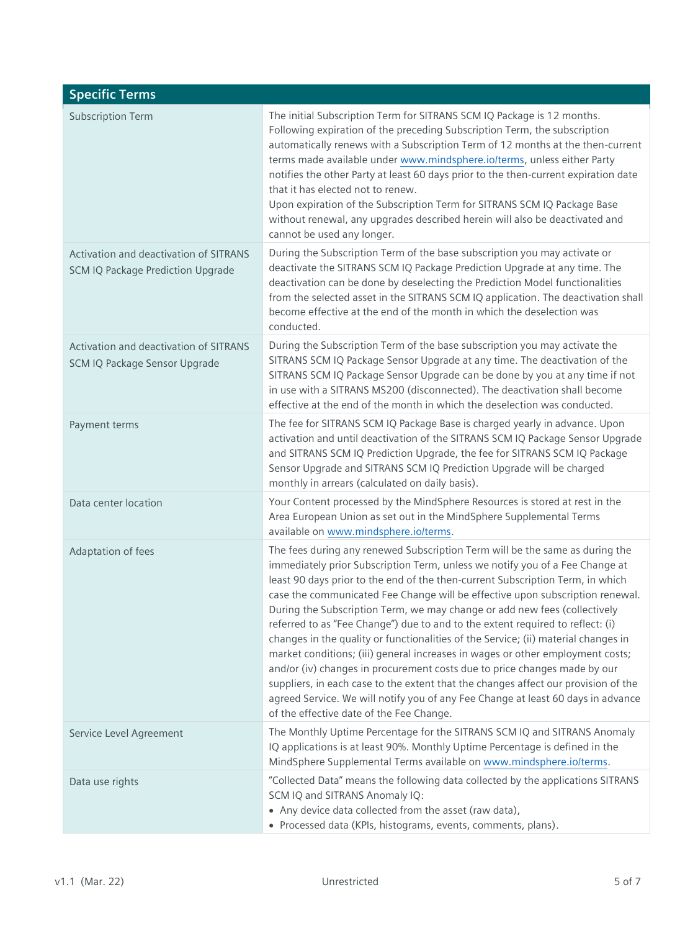| <b>Specific Terms</b>                                                       |                                                                                                                                                                                                                                                                                                                                                                                                                                                                                                                                                                                                                                                                                                                                                                                                                                                                                                                                                                           |
|-----------------------------------------------------------------------------|---------------------------------------------------------------------------------------------------------------------------------------------------------------------------------------------------------------------------------------------------------------------------------------------------------------------------------------------------------------------------------------------------------------------------------------------------------------------------------------------------------------------------------------------------------------------------------------------------------------------------------------------------------------------------------------------------------------------------------------------------------------------------------------------------------------------------------------------------------------------------------------------------------------------------------------------------------------------------|
| <b>Subscription Term</b>                                                    | The initial Subscription Term for SITRANS SCM IQ Package is 12 months.<br>Following expiration of the preceding Subscription Term, the subscription<br>automatically renews with a Subscription Term of 12 months at the then-current<br>terms made available under www.mindsphere.io/terms, unless either Party<br>notifies the other Party at least 60 days prior to the then-current expiration date<br>that it has elected not to renew.<br>Upon expiration of the Subscription Term for SITRANS SCM IQ Package Base<br>without renewal, any upgrades described herein will also be deactivated and<br>cannot be used any longer.                                                                                                                                                                                                                                                                                                                                     |
| Activation and deactivation of SITRANS<br>SCM IQ Package Prediction Upgrade | During the Subscription Term of the base subscription you may activate or<br>deactivate the SITRANS SCM IQ Package Prediction Upgrade at any time. The<br>deactivation can be done by deselecting the Prediction Model functionalities<br>from the selected asset in the SITRANS SCM IQ application. The deactivation shall<br>become effective at the end of the month in which the deselection was<br>conducted.                                                                                                                                                                                                                                                                                                                                                                                                                                                                                                                                                        |
| Activation and deactivation of SITRANS<br>SCM IQ Package Sensor Upgrade     | During the Subscription Term of the base subscription you may activate the<br>SITRANS SCM IQ Package Sensor Upgrade at any time. The deactivation of the<br>SITRANS SCM IQ Package Sensor Upgrade can be done by you at any time if not<br>in use with a SITRANS MS200 (disconnected). The deactivation shall become<br>effective at the end of the month in which the deselection was conducted.                                                                                                                                                                                                                                                                                                                                                                                                                                                                                                                                                                         |
| Payment terms                                                               | The fee for SITRANS SCM IQ Package Base is charged yearly in advance. Upon<br>activation and until deactivation of the SITRANS SCM IQ Package Sensor Upgrade<br>and SITRANS SCM IQ Prediction Upgrade, the fee for SITRANS SCM IQ Package<br>Sensor Upgrade and SITRANS SCM IQ Prediction Upgrade will be charged<br>monthly in arrears (calculated on daily basis).                                                                                                                                                                                                                                                                                                                                                                                                                                                                                                                                                                                                      |
| Data center location                                                        | Your Content processed by the MindSphere Resources is stored at rest in the<br>Area European Union as set out in the MindSphere Supplemental Terms<br>available on www.mindsphere.io/terms.                                                                                                                                                                                                                                                                                                                                                                                                                                                                                                                                                                                                                                                                                                                                                                               |
| Adaptation of fees                                                          | The fees during any renewed Subscription Term will be the same as during the<br>immediately prior Subscription Term, unless we notify you of a Fee Change at<br>least 90 days prior to the end of the then-current Subscription Term, in which<br>case the communicated Fee Change will be effective upon subscription renewal.<br>During the Subscription Term, we may change or add new fees (collectively<br>referred to as "Fee Change") due to and to the extent required to reflect: (i)<br>changes in the quality or functionalities of the Service; (ii) material changes in<br>market conditions; (iii) general increases in wages or other employment costs;<br>and/or (iv) changes in procurement costs due to price changes made by our<br>suppliers, in each case to the extent that the changes affect our provision of the<br>agreed Service. We will notify you of any Fee Change at least 60 days in advance<br>of the effective date of the Fee Change. |
| Service Level Agreement                                                     | The Monthly Uptime Percentage for the SITRANS SCM IQ and SITRANS Anomaly<br>IQ applications is at least 90%. Monthly Uptime Percentage is defined in the<br>MindSphere Supplemental Terms available on www.mindsphere.io/terms.                                                                                                                                                                                                                                                                                                                                                                                                                                                                                                                                                                                                                                                                                                                                           |
| Data use rights                                                             | "Collected Data" means the following data collected by the applications SITRANS<br>SCM IQ and SITRANS Anomaly IQ:<br>• Any device data collected from the asset (raw data),<br>• Processed data (KPIs, histograms, events, comments, plans).                                                                                                                                                                                                                                                                                                                                                                                                                                                                                                                                                                                                                                                                                                                              |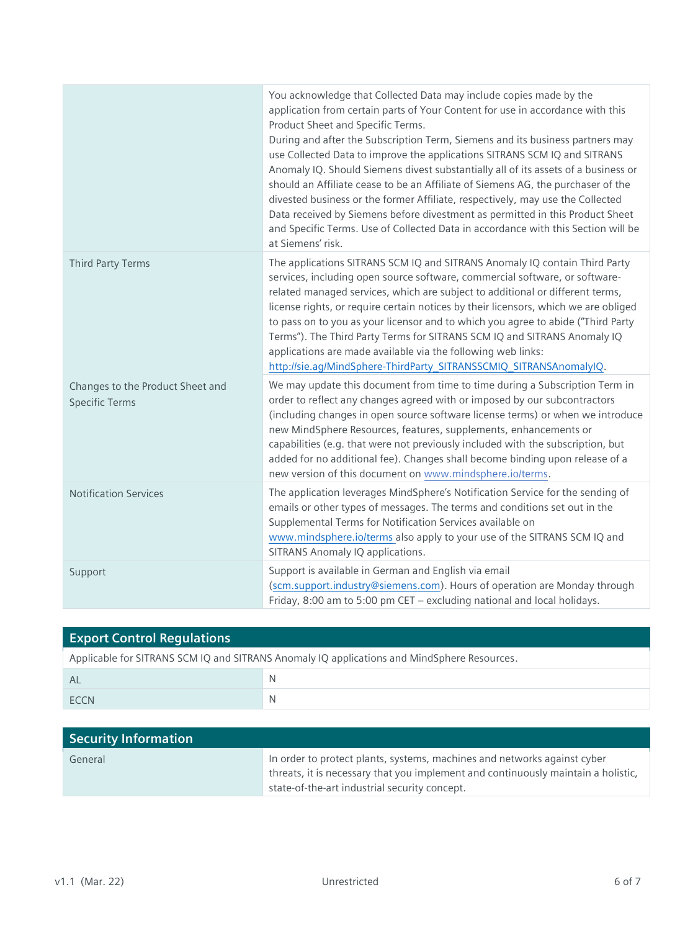|                                                           | You acknowledge that Collected Data may include copies made by the<br>application from certain parts of Your Content for use in accordance with this<br>Product Sheet and Specific Terms.<br>During and after the Subscription Term, Siemens and its business partners may<br>use Collected Data to improve the applications SITRANS SCM IQ and SITRANS<br>Anomaly IQ. Should Siemens divest substantially all of its assets of a business or<br>should an Affiliate cease to be an Affiliate of Siemens AG, the purchaser of the<br>divested business or the former Affiliate, respectively, may use the Collected<br>Data received by Siemens before divestment as permitted in this Product Sheet<br>and Specific Terms. Use of Collected Data in accordance with this Section will be<br>at Siemens' risk. |
|-----------------------------------------------------------|----------------------------------------------------------------------------------------------------------------------------------------------------------------------------------------------------------------------------------------------------------------------------------------------------------------------------------------------------------------------------------------------------------------------------------------------------------------------------------------------------------------------------------------------------------------------------------------------------------------------------------------------------------------------------------------------------------------------------------------------------------------------------------------------------------------|
| <b>Third Party Terms</b>                                  | The applications SITRANS SCM IQ and SITRANS Anomaly IQ contain Third Party<br>services, including open source software, commercial software, or software-<br>related managed services, which are subject to additional or different terms,<br>license rights, or require certain notices by their licensors, which we are obliged<br>to pass on to you as your licensor and to which you agree to abide ("Third Party<br>Terms"). The Third Party Terms for SITRANS SCM IQ and SITRANS Anomaly IQ<br>applications are made available via the following web links:<br>http://sie.ag/MindSphere-ThirdParty_SITRANSSCMIQ_SITRANSAnomalyIQ.                                                                                                                                                                        |
| Changes to the Product Sheet and<br><b>Specific Terms</b> | We may update this document from time to time during a Subscription Term in<br>order to reflect any changes agreed with or imposed by our subcontractors<br>(including changes in open source software license terms) or when we introduce<br>new MindSphere Resources, features, supplements, enhancements or<br>capabilities (e.g. that were not previously included with the subscription, but<br>added for no additional fee). Changes shall become binding upon release of a<br>new version of this document on www.mindsphere.io/terms.                                                                                                                                                                                                                                                                  |
| <b>Notification Services</b>                              | The application leverages MindSphere's Notification Service for the sending of<br>emails or other types of messages. The terms and conditions set out in the<br>Supplemental Terms for Notification Services available on<br>www.mindsphere.io/terms also apply to your use of the SITRANS SCM IQ and<br>SITRANS Anomaly IQ applications.                                                                                                                                                                                                                                                                                                                                                                                                                                                                      |
| Support                                                   | Support is available in German and English via email<br>(scm.support.industry@siemens.com). Hours of operation are Monday through<br>Friday, 8:00 am to 5:00 pm CET - excluding national and local holidays.                                                                                                                                                                                                                                                                                                                                                                                                                                                                                                                                                                                                   |

| <b>Export Control Requlations</b>                                                           |   |  |
|---------------------------------------------------------------------------------------------|---|--|
| Applicable for SITRANS SCM IQ and SITRANS Anomaly IQ applications and MindSphere Resources. |   |  |
| Al                                                                                          |   |  |
| <b>FCCN</b>                                                                                 | N |  |

| <b>Security Information</b> |                                                                                   |
|-----------------------------|-----------------------------------------------------------------------------------|
| General                     | In order to protect plants, systems, machines and networks against cyber          |
|                             | threats, it is necessary that you implement and continuously maintain a holistic, |
|                             | state-of-the-art industrial security concept.                                     |